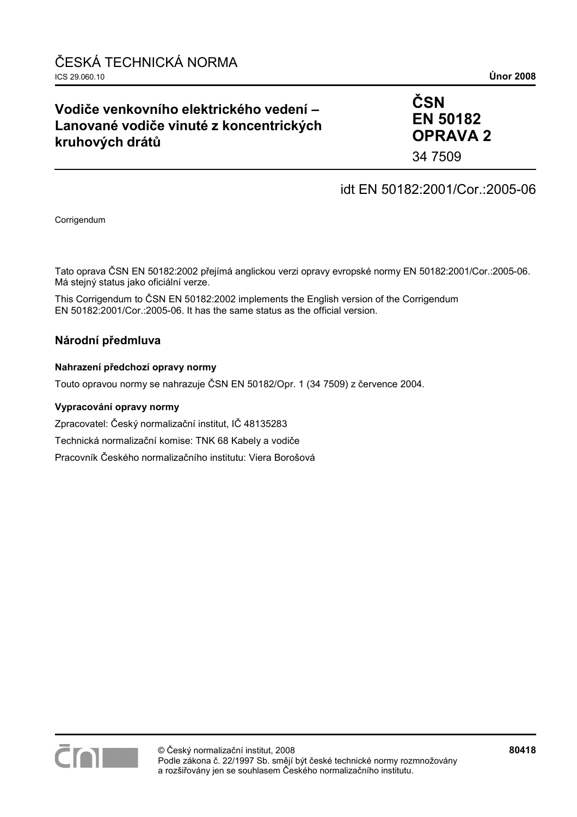# **Vodiče venkovního elektrického vedení – Lanované vodiče vinuté z koncentrických kruhových drátů**

**ČSN EN 50182 OPRAVA 2**  34 7509

idt EN 50182:2001/Cor.:2005-06

Corrigendum

Tato oprava ČSN EN 50182:2002 přejímá anglickou verzi opravy evropské normy EN 50182:2001/Cor.:2005-06. Má stejný status jako oficiální verze.

This Corrigendum to ČSN EN 50182:2002 implements the English version of the Corrigendum EN 50182:2001/Cor.:2005-06. It has the same status as the official version.

## **Národní předmluva**

## **Nahrazení předchozí opravy normy**

Touto opravou normy se nahrazuje ČSN EN 50182/Opr. 1 (34 7509) z července 2004.

### **Vypracování opravy normy**

Zpracovatel: Český normalizační institut, IČ 48135283

Technická normalizační komise: TNK 68 Kabely a vodiče

Pracovník Českého normalizačního institutu: Viera Borošová

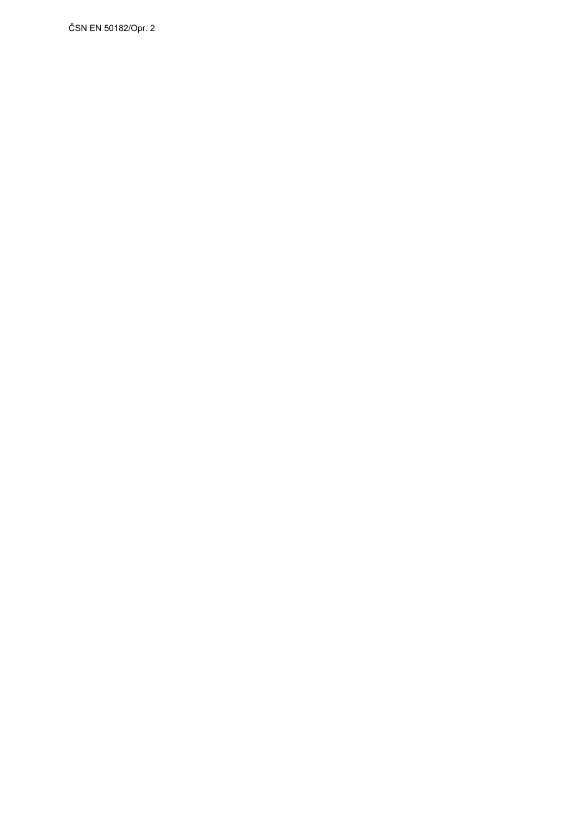ČSN EN 50182/Opr. 2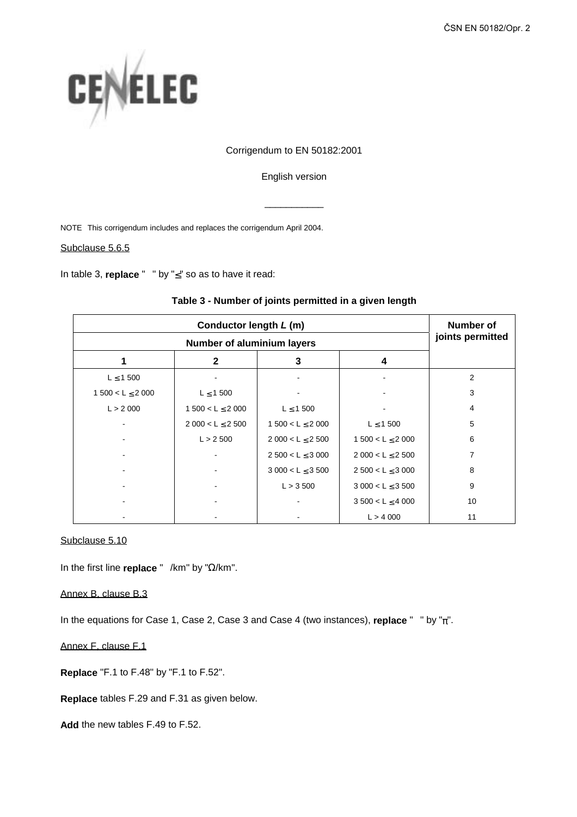

#### Corrigendum to EN 50182:2001

#### English version

\_\_\_\_\_\_\_\_\_\_\_

NOTE This corrigendum includes and replaces the corrigendum April 2004.

#### Subclause 5.6.5

In table 3, **replace** "" by "≤" so as to have it read:

|                     | Conductor length L (m)     |                       |                     | Number of        |
|---------------------|----------------------------|-----------------------|---------------------|------------------|
|                     | Number of aluminium layers |                       |                     | joints permitted |
|                     | $\mathbf{2}$               | 3                     | 4                   |                  |
| $L \le 1500$        |                            |                       |                     | 2                |
| $1500 < L \le 2000$ | $L \leq 1500$              |                       |                     | 3                |
| L > 2000            | $1500 < L \le 2000$        | $L \leq 1500$         |                     | 4                |
|                     | 2000 < L < 2500            | $1500 < L \le 2000$   | $L \le 1500$        | 5                |
|                     | L > 2500                   | $2000 < L \le 2500$   | $1500 < L \le 2000$ | 6                |
|                     |                            | $2\,500 < L < 3\,000$ | 2000 < L < 2500     | 7                |
|                     |                            | 3000 < L < 3500       | 2500 < L < 3000     | 8                |
|                     |                            | L > 3500              | 3000 < L < 3500     | 9                |
|                     |                            |                       | 3500 < L < 4000     | 10               |
|                     |                            |                       | L > 4000            | 11               |

## **Table 3 - Number of joints permitted in a given length**

#### Subclause 5.10

In the first line **replace** "/km" by "Ω/km".

Annex B, clause B.3

In the equations for Case 1, Case 2, Case 3 and Case 4 (two instances), **replace** "" by "π".

Annex F, clause F.1

**Replace** "F.1 to F.48" by "F.1 to F.52".

**Replace** tables F.29 and F.31 as given below.

**Add** the new tables F.49 to F.52.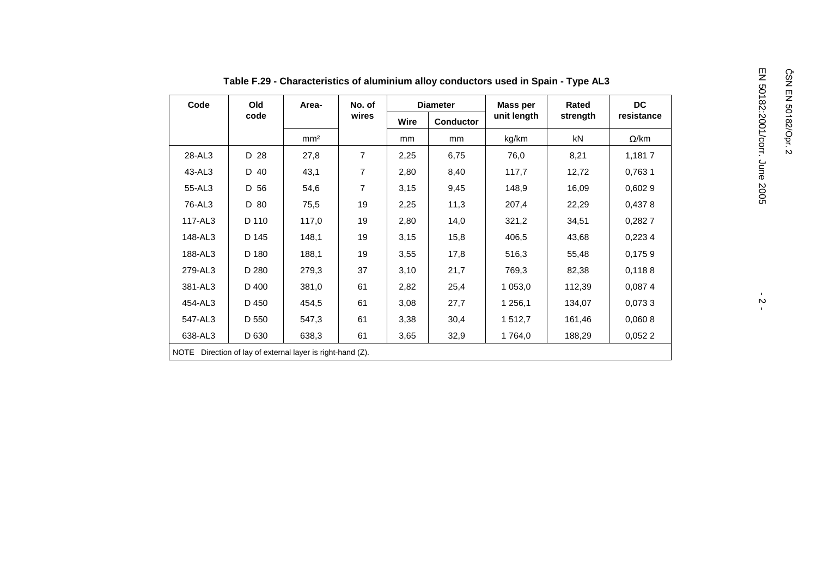| Code    | Old   | Area-           | No. of         |             | <b>Diameter</b>  | <b>Mass per</b> | Rated    | <b>DC</b>    |  |
|---------|-------|-----------------|----------------|-------------|------------------|-----------------|----------|--------------|--|
|         | code  |                 | wires          | <b>Wire</b> | <b>Conductor</b> | unit length     | strength | resistance   |  |
|         |       | mm <sup>2</sup> |                | mm          | mm               | kg/km           | kN       | $\Omega$ /km |  |
| 28-AL3  | D 28  | 27,8            | 7              | 2,25        | 6,75             | 76,0            | 8,21     | 1,1817       |  |
| 43-AL3  | D 40  | 43,1            | $\overline{7}$ | 2,80        | 8,40             | 117,7           | 12,72    | 0,7631       |  |
| 55-AL3  | D 56  | 54,6            | $\overline{7}$ | 3,15        | 9,45             | 148,9           | 16,09    | 0,6029       |  |
| 76-AL3  | D 80  | 75,5            | 19             | 2,25        | 11,3             | 207,4           | 22,29    | 0,4378       |  |
| 117-AL3 | D 110 | 117,0           | 19             | 2,80        | 14,0             | 321,2           | 34,51    | 0,2827       |  |
| 148-AL3 | D 145 | 148,1           | 19             | 3,15        | 15,8             | 406,5           | 43,68    | 0,2234       |  |
| 188-AL3 | D 180 | 188,1           | 19             | 3,55        | 17,8             | 516,3           | 55,48    | 0,1759       |  |
| 279-AL3 | D 280 | 279,3           | 37             | 3,10        | 21,7             | 769,3           | 82,38    | 0,1188       |  |
| 381-AL3 | D 400 | 381,0           | 61             | 2,82        | 25,4             | 1 053,0         | 112,39   | 0,0874       |  |
| 454-AL3 | D 450 | 454,5           | 61             | 3,08        | 27,7             | 1 256,1         | 134,07   | 0,0733       |  |
| 547-AL3 | D 550 | 547,3           | 61             | 3,38        | 30,4             | 1 512,7         | 161,46   | 0,0608       |  |
| 638-AL3 | D 630 | 638,3           | 61             | 3,65        | 32,9             | 1 764,0         | 188,29   | 0,0522       |  |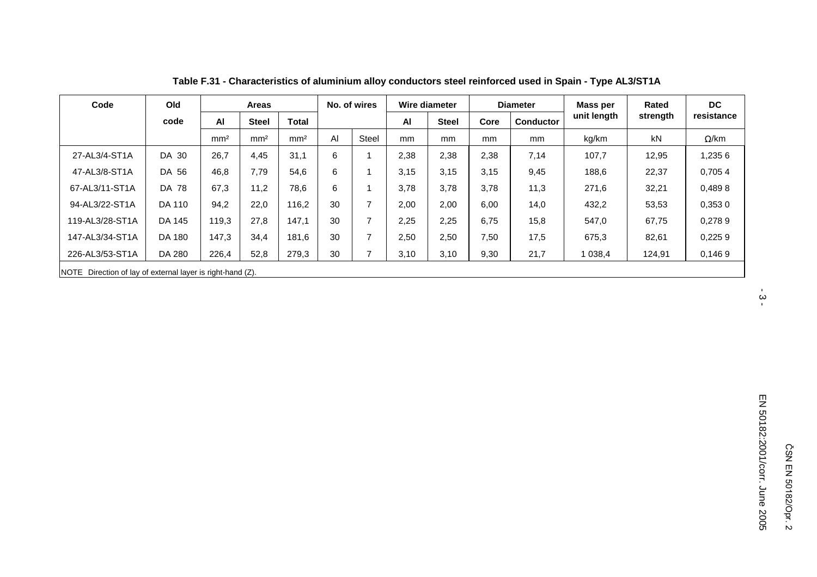| Code            | Old    |                 | <b>Areas</b>    |                 |    | No. of wires |      | Wire diameter |      | <b>Diameter</b>  | <b>Mass per</b> | Rated    | <b>DC</b>    |
|-----------------|--------|-----------------|-----------------|-----------------|----|--------------|------|---------------|------|------------------|-----------------|----------|--------------|
|                 | code   | AI              | <b>Steel</b>    | Total           |    |              |      | <b>Steel</b>  | Core | <b>Conductor</b> | unit length     | strength | resistance   |
|                 |        | mm <sup>2</sup> | mm <sup>2</sup> | mm <sup>2</sup> | Al | Steel        | mm   | mm            | mm   | mm               | kg/km           | kN       | $\Omega$ /km |
| 27-AL3/4-ST1A   | DA 30  | 26,7            | 4.45            | 31,1            | 6  |              | 2,38 | 2,38          | 2,38 | 7,14             | 107.7           | 12,95    | 1,2356       |
| 47-AL3/8-ST1A   | DA 56  | 46,8            | 7.79            | 54,6            | 6  |              | 3.15 | 3,15          | 3,15 | 9,45             | 188,6           | 22,37    | 0,7054       |
| 67-AL3/11-ST1A  | DA 78  | 67,3            | 11,2            | 78,6            | 6  |              | 3.78 | 3,78          | 3.78 | 11,3             | 271,6           | 32,21    | 0,4898       |
| 94-AL3/22-ST1A  | DA 110 | 94,2            | 22,0            | 116,2           | 30 | ⇁            | 2,00 | 2,00          | 6.00 | 14,0             | 432,2           | 53,53    | 0,3530       |
| 119-AL3/28-ST1A | DA 145 | 119,3           | 27,8            | 147,1           | 30 | 7            | 2,25 | 2,25          | 6,75 | 15,8             | 547,0           | 67,75    | 0,2789       |
| 147-AL3/34-ST1A | DA 180 | 147,3           | 34,4            | 181,6           | 30 | 7            | 2,50 | 2,50          | 7,50 | 17,5             | 675,3           | 82,61    | 0,2259       |
| 226-AL3/53-ST1A | DA 280 | 226,4           | 52,8            | 279,3           | 30 | ⇁            | 3,10 | 3,10          | 9,30 | 21,7             | 038,4           | 124,91   | 0,1469       |
|                 |        | .               |                 |                 |    |              |      |               |      |                  |                 |          |              |

**Table F.31 - Characteristics of aluminium alloy conductors steel reinforced used in Spain - Type AL3/ST1A** 

NOTE Direction of lay of external layer is right-hand (Z).

EN 50182:2001/corr. June 2005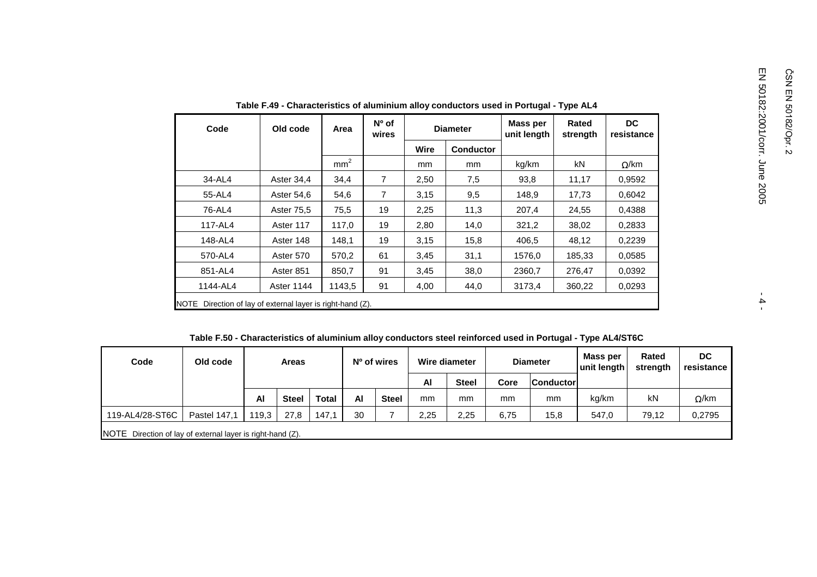| Code     | Old code          | Area            | $No$ of<br>wires | <b>Diameter</b> |                  |        |        |              |  | <b>Mass per</b><br>unit length | Rated<br>strength | <b>DC</b><br>resistance |
|----------|-------------------|-----------------|------------------|-----------------|------------------|--------|--------|--------------|--|--------------------------------|-------------------|-------------------------|
|          |                   |                 |                  | Wire            | <b>Conductor</b> |        |        |              |  |                                |                   |                         |
|          |                   | mm <sup>2</sup> |                  | mm              | mm               | kg/km  | kN     | $\Omega$ /km |  |                                |                   |                         |
| 34-AL4   | Aster 34,4        | 34,4            | $\overline{7}$   | 2,50            | 7,5              | 93,8   | 11,17  | 0,9592       |  |                                |                   |                         |
| 55-AL4   | Aster 54,6        | 54,6            | $\overline{7}$   | 3,15            | 9,5              | 148,9  | 17,73  | 0,6042       |  |                                |                   |                         |
| 76-AL4   | <b>Aster 75,5</b> | 75,5            | 19               | 2,25            | 11,3             | 207,4  | 24,55  | 0,4388       |  |                                |                   |                         |
| 117-AL4  | Aster 117         | 117,0           | 19               | 2,80            | 14,0             | 321,2  | 38,02  | 0,2833       |  |                                |                   |                         |
| 148-AL4  | Aster 148         | 148,1           | 19               | 3,15            | 15,8             | 406,5  | 48,12  | 0,2239       |  |                                |                   |                         |
| 570-AL4  | Aster 570         | 570,2           | 61               | 3,45            | 31,1             | 1576,0 | 185,33 | 0,0585       |  |                                |                   |                         |
| 851-AL4  | Aster 851         | 850,7           | 91               | 3,45            | 38,0             | 2360,7 | 276,47 | 0,0392       |  |                                |                   |                         |
| 1144-AL4 | Aster 1144        | 1143,5          | 91               | 4,00            | 44,0             | 3173,4 | 360,22 | 0.0293       |  |                                |                   |                         |

| Table F.49 - Characteristics of aluminium alloy conductors used in Portugal - Type AL4 |  |
|----------------------------------------------------------------------------------------|--|
|                                                                                        |  |

**Table F.50 - Characteristics of aluminium alloy conductors steel reinforced used in Portugal - Type AL4/ST6C** 

| Code                                                       | Old code     |       | <b>Areas</b> |              | $No$ of wires |              | Wire diameter |              | <b>Diameter</b> |                  | Mass per<br>unit length | <b>Rated</b><br>strength | DC.<br>resistance |
|------------------------------------------------------------|--------------|-------|--------------|--------------|---------------|--------------|---------------|--------------|-----------------|------------------|-------------------------|--------------------------|-------------------|
|                                                            |              |       |              |              |               |              |               | <b>Steel</b> | Core            | <b>Conductor</b> |                         |                          |                   |
|                                                            |              | ΑI    | <b>Steel</b> | <b>Total</b> | Al            | <b>Steel</b> | mm            | mm           | mm              | mm               | kg/km                   | kN                       | $\Omega$ /km      |
| 119-AL4/28-ST6C                                            | Pastel 147.1 | 119,3 | 27,8         | 147,1        | 30            |              | 2,25          | 2,25         | 6,75            | 15,8             | 547,0                   | 79,12                    | 0,2795            |
| NOTE Direction of lay of external layer is right-hand (Z). |              |       |              |              |               |              |               |              |                 |                  |                         |                          |                   |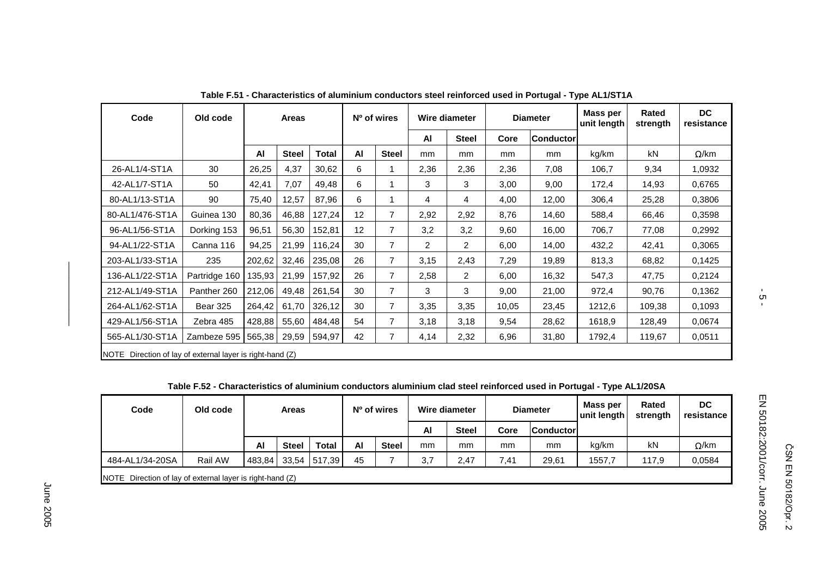| Code                                                      | Old code        |        | <b>Areas</b> |              | Nº of wires |                | Wire diameter  |                | <b>Diameter</b> |                  | Mass per<br>unit length | Rated<br>strength | <b>DC</b><br>resistance |
|-----------------------------------------------------------|-----------------|--------|--------------|--------------|-------------|----------------|----------------|----------------|-----------------|------------------|-------------------------|-------------------|-------------------------|
|                                                           |                 |        |              |              |             |                | AI             | <b>Steel</b>   | Core            | <b>Conductor</b> |                         |                   |                         |
|                                                           |                 | AI     | <b>Steel</b> | <b>Total</b> | <b>AI</b>   | <b>Steel</b>   | mm             | mm             | <sub>mm</sub>   | mm               | kg/km                   | kN                | $\Omega$ /km            |
| 26-AL1/4-ST1A                                             | 30              | 26,25  | 4,37         | 30,62        | 6           |                | 2,36           | 2,36           | 2,36            | 7,08             | 106,7                   | 9,34              | 1,0932                  |
| 42-AL1/7-ST1A                                             | 50              | 42,41  | 7,07         | 49,48        | 6           |                | 3              | 3              | 3,00            | 9,00             | 172,4                   | 14,93             | 0,6765                  |
| 80-AL1/13-ST1A                                            | 90              | 75,40  | 12,57        | 87,96        | 6           |                | 4              | 4              | 4,00            | 12,00            | 306,4                   | 25,28             | 0,3806                  |
| 80-AL1/476-ST1A                                           | Guinea 130      | 80,36  | 46,88        | 127,24       | 12          | $\overline{7}$ | 2,92           | 2,92           | 8,76            | 14,60            | 588,4                   | 66,46             | 0,3598                  |
| 96-AL1/56-ST1A                                            | Dorking 153     | 96,51  | 56,30        | 152,81       | 12          | 7              | 3,2            | 3,2            | 9,60            | 16,00            | 706,7                   | 77,08             | 0,2992                  |
| 94-AL1/22-ST1A                                            | Canna 116       | 94,25  | 21,99        | 116,24       | 30          | 7              | $\overline{2}$ | $\overline{2}$ | 6,00            | 14,00            | 432,2                   | 42,41             | 0,3065                  |
| 203-AL1/33-ST1A                                           | 235             | 202,62 | 32,46        | 235,08       | 26          | $\overline{7}$ | 3,15           | 2,43           | 7,29            | 19,89            | 813,3                   | 68,82             | 0.1425                  |
| 136-AL1/22-ST1A                                           | Partridge 160   | 135,93 | 21,99        | 157,92       | 26          | 7              | 2,58           | $\overline{2}$ | 6,00            | 16,32            | 547,3                   | 47,75             | 0,2124                  |
| 212-AL1/49-ST1A                                           | Panther 260     | 212,06 | 49,48        | 261,54       | 30          | 7              | 3              | 3              | 9,00            | 21,00            | 972,4                   | 90,76             | 0,1362                  |
| 264-AL1/62-ST1A                                           | <b>Bear 325</b> | 264,42 | 61,70        | 326,12       | 30          | 7              | 3,35           | 3,35           | 10,05           | 23,45            | 1212,6                  | 109,38            | 0.1093                  |
| 429-AL1/56-ST1A                                           | Zebra 485       | 428,88 | 55,60        | 484,48       | 54          | $\overline{7}$ | 3,18           | 3,18           | 9,54            | 28,62            | 1618,9                  | 128,49            | 0.0674                  |
| 565-AL1/30-ST1A                                           | Zambeze 595     | 565,38 | 29,59        | 594,97       | 42          | 7              | 4,14           | 2,32           | 6,96            | 31,80            | 1792,4                  | 119,67            | 0,0511                  |
| NOTE Direction of lay of external layer is right-hand (Z) |                 |        |              |              |             |                |                |                |                 |                  |                         |                   |                         |

**Table F.51 - Characteristics of aluminium conductors steel reinforced used in Portugal - Type AL1/ST1A** 

**Table F.52 - Characteristics of aluminium conductors aluminium clad steel reinforced used in Portugal - Type AL1/20SA** 

| Code            | Old code |        | <b>Areas</b> |              | $No$ of wires |              | Wire diameter |              | <b>Diameter</b> |                  | Mass per<br>unit length | Rated<br>strength | DC<br>resistance |
|-----------------|----------|--------|--------------|--------------|---------------|--------------|---------------|--------------|-----------------|------------------|-------------------------|-------------------|------------------|
|                 |          |        |              |              |               |              | Al            | <b>Steel</b> | Core            | <b>Conductor</b> |                         |                   |                  |
|                 |          | Al     | <b>Steel</b> | <b>Total</b> | AI            | <b>Steel</b> | mm            | mm           | mm              | mm               | kg/km                   | kN                | $\Omega$ /km     |
| 484-AL1/34-20SA | Rail AW  | 483,84 | 33,54        | 517,39       | 45            |              | 3,7           | 2,47         | 7,41            | 29,61            | 1557.7                  | 117,9             | 0,0584           |
|                 |          |        |              |              |               |              |               |              |                 |                  |                         |                   |                  |

NOTE Direction of lay of external layer is right-hand (Z)

 $\overline{\phantom{a}}$ 

 $\sigma$ - 5 - 1 A - 1 A - 1 A - 1 A - 1 A - 1 A - 1 A - 1 A - 1 A - 1 A - 1 A - 1 A - 1 A - 1 A - 1 A - 1 A - 1 A - 1 A - 1 A - 1 A - 1 A - 1 A - 1 A - 1 A - 1 A - 1 A - 1 A - 1 A - 1 A - 1 A - 1 A - 1 A - 1 A - 1 A - 1 A - 1 A -  $\mathbf{I}$ 

EN 50182:2001/corr. June 2005